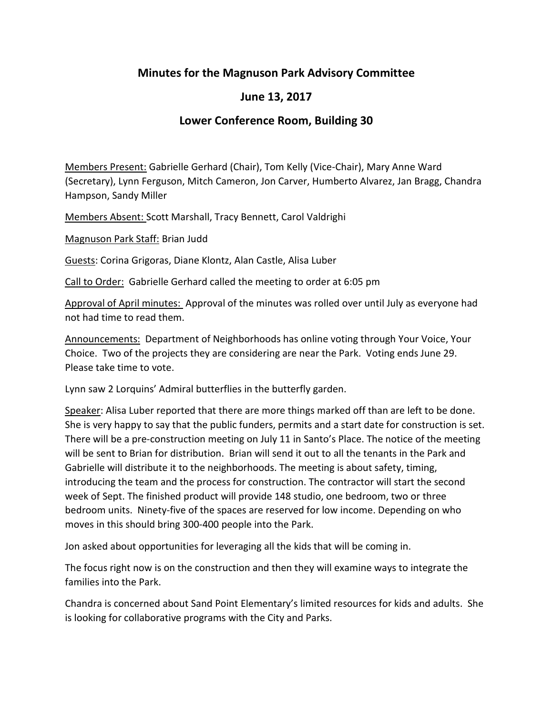## **Minutes for the Magnuson Park Advisory Committee**

## **June 13, 2017**

## **Lower Conference Room, Building 30**

Members Present: Gabrielle Gerhard (Chair), Tom Kelly (Vice-Chair), Mary Anne Ward (Secretary), Lynn Ferguson, Mitch Cameron, Jon Carver, Humberto Alvarez, Jan Bragg, Chandra Hampson, Sandy Miller

Members Absent: Scott Marshall, Tracy Bennett, Carol Valdrighi

Magnuson Park Staff: Brian Judd

Guests: Corina Grigoras, Diane Klontz, Alan Castle, Alisa Luber

Call to Order: Gabrielle Gerhard called the meeting to order at 6:05 pm

Approval of April minutes: Approval of the minutes was rolled over until July as everyone had not had time to read them.

Announcements: Department of Neighborhoods has online voting through Your Voice, Your Choice. Two of the projects they are considering are near the Park. Voting ends June 29. Please take time to vote.

Lynn saw 2 Lorquins' Admiral butterflies in the butterfly garden.

Speaker: Alisa Luber reported that there are more things marked off than are left to be done. She is very happy to say that the public funders, permits and a start date for construction is set. There will be a pre-construction meeting on July 11 in Santo's Place. The notice of the meeting will be sent to Brian for distribution. Brian will send it out to all the tenants in the Park and Gabrielle will distribute it to the neighborhoods. The meeting is about safety, timing, introducing the team and the process for construction. The contractor will start the second week of Sept. The finished product will provide 148 studio, one bedroom, two or three bedroom units. Ninety-five of the spaces are reserved for low income. Depending on who moves in this should bring 300-400 people into the Park.

Jon asked about opportunities for leveraging all the kids that will be coming in.

The focus right now is on the construction and then they will examine ways to integrate the families into the Park.

Chandra is concerned about Sand Point Elementary's limited resources for kids and adults. She is looking for collaborative programs with the City and Parks.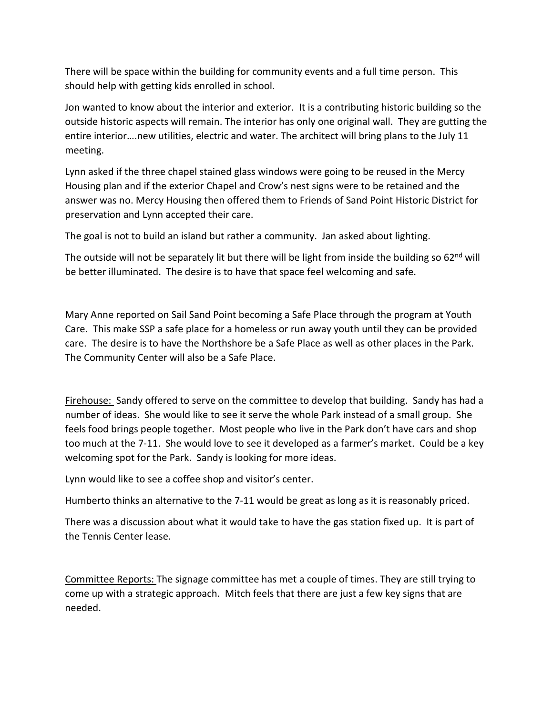There will be space within the building for community events and a full time person. This should help with getting kids enrolled in school.

Jon wanted to know about the interior and exterior. It is a contributing historic building so the outside historic aspects will remain. The interior has only one original wall. They are gutting the entire interior….new utilities, electric and water. The architect will bring plans to the July 11 meeting.

Lynn asked if the three chapel stained glass windows were going to be reused in the Mercy Housing plan and if the exterior Chapel and Crow's nest signs were to be retained and the answer was no. Mercy Housing then offered them to Friends of Sand Point Historic District for preservation and Lynn accepted their care.

The goal is not to build an island but rather a community. Jan asked about lighting.

The outside will not be separately lit but there will be light from inside the building so 62<sup>nd</sup> will be better illuminated. The desire is to have that space feel welcoming and safe.

Mary Anne reported on Sail Sand Point becoming a Safe Place through the program at Youth Care. This make SSP a safe place for a homeless or run away youth until they can be provided care. The desire is to have the Northshore be a Safe Place as well as other places in the Park. The Community Center will also be a Safe Place.

Firehouse: Sandy offered to serve on the committee to develop that building. Sandy has had a number of ideas. She would like to see it serve the whole Park instead of a small group. She feels food brings people together. Most people who live in the Park don't have cars and shop too much at the 7-11. She would love to see it developed as a farmer's market. Could be a key welcoming spot for the Park. Sandy is looking for more ideas.

Lynn would like to see a coffee shop and visitor's center.

Humberto thinks an alternative to the 7-11 would be great as long as it is reasonably priced.

There was a discussion about what it would take to have the gas station fixed up. It is part of the Tennis Center lease.

Committee Reports: The signage committee has met a couple of times. They are still trying to come up with a strategic approach. Mitch feels that there are just a few key signs that are needed.